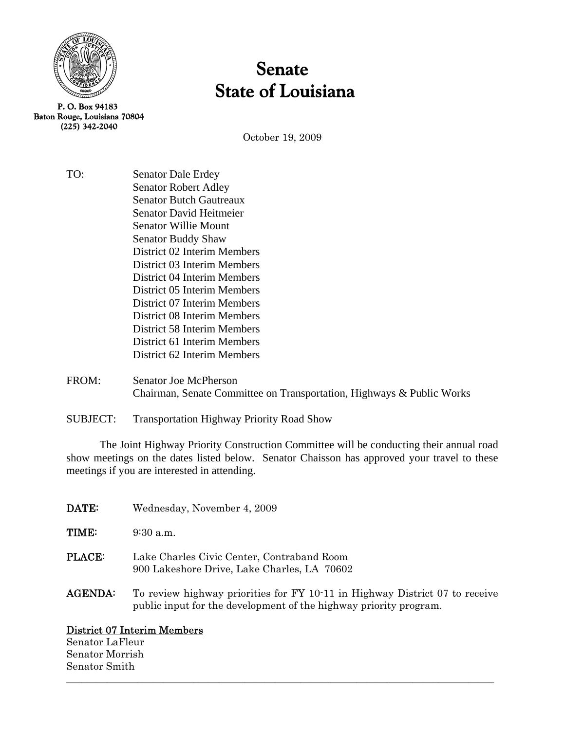

 Baton Rouge, Louisiana 70804 (225) 342-2040

# Senate State of Louisiana

October 19, 2009

TO: Senator Dale Erdey Senator Robert Adley Senator Butch Gautreaux Senator David Heitmeier Senator Willie Mount Senator Buddy Shaw District 02 Interim Members District 03 Interim Members District 04 Interim Members District 05 Interim Members District 07 Interim Members District 08 Interim Members District 58 Interim Members District 61 Interim Members District 62 Interim Members

FROM: Senator Joe McPherson Chairman, Senate Committee on Transportation, Highways & Public Works

SUBJECT: Transportation Highway Priority Road Show

The Joint Highway Priority Construction Committee will be conducting their annual road show meetings on the dates listed below. Senator Chaisson has approved your travel to these meetings if you are interested in attending.

| DATE:          | Wednesday, November 4, 2009                                                                                                                      |
|----------------|--------------------------------------------------------------------------------------------------------------------------------------------------|
| TIME:          | $9:30$ a.m.                                                                                                                                      |
| <b>PLACE:</b>  | Lake Charles Civic Center, Contraband Room<br>900 Lakeshore Drive, Lake Charles, LA 70602                                                        |
| <b>AGENDA:</b> | To review highway priorities for FY 10-11 in Highway District 07 to receive<br>public input for the development of the highway priority program. |

 $\_$  , and the set of the set of the set of the set of the set of the set of the set of the set of the set of the set of the set of the set of the set of the set of the set of the set of the set of the set of the set of th

# District 07 Interim Members

Senator LaFleur Senator Morrish Senator Smith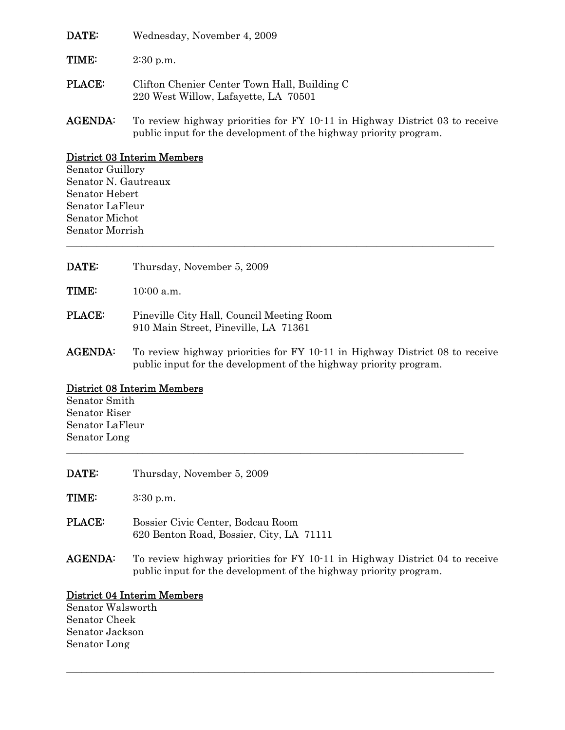| DATE:          | Wednesday, November 4, 2009                                                                                                                      |
|----------------|--------------------------------------------------------------------------------------------------------------------------------------------------|
| TIME:          | $2:30$ p.m.                                                                                                                                      |
| <b>PLACE:</b>  | Clifton Chenier Center Town Hall, Building C<br>220 West Willow, Lafayette, LA 70501                                                             |
| <b>AGENDA:</b> | To review highway priorities for FY 10-11 in Highway District 03 to receive<br>public input for the development of the highway priority program. |

### District 03 Interim Members

Senator Guillory Senator N. Gautreaux Senator Hebert Senator LaFleur Senator Michot Senator Morrish

| <b>DATE:</b> | Thursday, November 5, 2009 |
|--------------|----------------------------|
| <b>TIME:</b> | $10:00$ a.m.               |

- PLACE: Pineville City Hall, Council Meeting Room 910 Main Street, Pineville, LA 71361
- AGENDA: To review highway priorities for FY 10-11 in Highway District 08 to receive public input for the development of the highway priority program.

\_\_\_\_\_\_\_\_\_\_\_\_\_\_\_\_\_\_\_\_\_\_\_\_\_\_\_\_\_\_\_\_\_\_\_\_\_\_\_\_\_\_\_\_\_\_\_\_\_\_\_\_\_\_\_\_\_\_\_\_\_\_\_\_\_\_\_\_\_\_\_\_\_\_\_\_\_\_\_\_\_\_\_\_

\_\_\_\_\_\_\_\_\_\_\_\_\_\_\_\_\_\_\_\_\_\_\_\_\_\_\_\_\_\_\_\_\_\_\_\_\_\_\_\_\_\_\_\_\_\_\_\_\_\_\_\_\_\_\_\_\_\_\_\_\_\_\_\_\_\_\_\_\_\_\_\_\_\_\_\_\_\_\_\_\_\_\_\_

# District 08 Interim Members

Senator Smith Senator Riser Senator LaFleur Senator Long \_\_\_\_\_\_\_\_\_\_\_\_\_\_\_\_\_\_\_\_\_\_\_\_\_\_\_\_\_\_\_\_\_\_\_\_\_\_\_\_\_\_\_\_\_\_\_\_\_\_\_\_\_\_\_\_\_\_\_\_\_\_\_\_\_\_\_\_\_\_\_\_\_\_\_\_\_\_

| <b>DATE:</b>   | Thursday, November 5, 2009                                                                                                                       |
|----------------|--------------------------------------------------------------------------------------------------------------------------------------------------|
| <b>TIME:</b>   | $3:30$ p.m.                                                                                                                                      |
| <b>PLACE:</b>  | Bossier Civic Center, Bodcau Room<br>620 Benton Road, Bossier, City, LA 71111                                                                    |
| <b>AGENDA:</b> | To review highway priorities for FY 10-11 in Highway District 04 to receive<br>public input for the development of the highway priority program. |

# District 04 Interim Members

Senator Walsworth Senator Cheek Senator Jackson Senator Long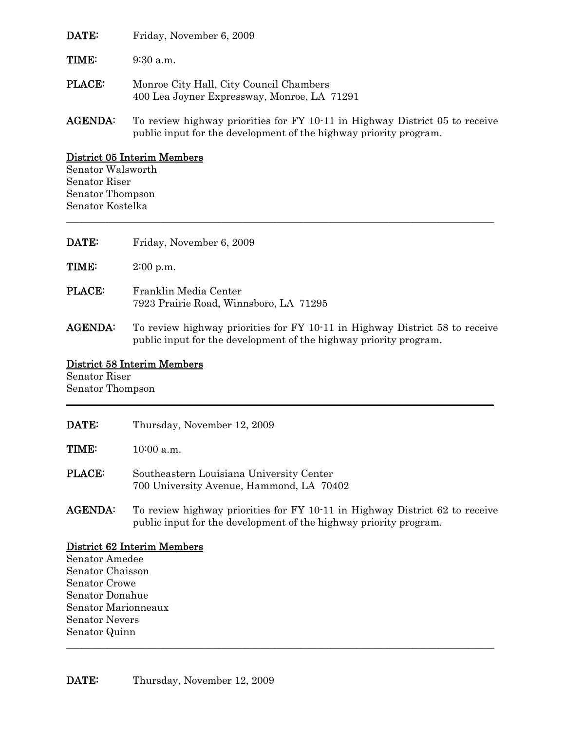| DATE:          | Friday, November 6, 2009                                                                                                                         |
|----------------|--------------------------------------------------------------------------------------------------------------------------------------------------|
| <b>TIME:</b>   | $9:30$ a.m.                                                                                                                                      |
| <b>PLACE:</b>  | Monroe City Hall, City Council Chambers<br>400 Lea Joyner Expressway, Monroe, LA 71291                                                           |
| <b>AGENDA:</b> | To review highway priorities for FY 10-11 in Highway District 05 to receive<br>public input for the development of the highway priority program. |

# District 05 Interim Members

Senator Walsworth Senator Riser Senator Thompson Senator Kostelka

| DATE:          | Friday, November 6, 2009                                                                                                                         |
|----------------|--------------------------------------------------------------------------------------------------------------------------------------------------|
| TIME:          | $2:00$ p.m.                                                                                                                                      |
| <b>PLACE:</b>  | Franklin Media Center<br>7923 Prairie Road, Winnsboro, LA 71295                                                                                  |
| <b>AGENDA:</b> | To review highway priorities for FY 10-11 in Highway District 58 to receive<br>public input for the development of the highway priority program. |

\_\_\_\_\_\_\_\_\_\_\_\_\_\_\_\_\_\_\_\_\_\_\_\_\_\_\_\_\_\_\_\_\_\_\_\_\_\_\_\_\_\_\_\_\_\_\_\_\_\_\_\_\_\_\_\_\_\_\_\_\_\_\_\_\_\_\_\_\_\_\_\_\_\_\_\_\_\_\_\_\_\_\_\_

# District 58 Interim Members

Senator Riser Senator Thompson \_\_\_\_\_\_\_\_\_\_\_\_\_\_\_\_\_\_\_\_\_\_\_\_\_\_\_\_\_\_\_\_\_\_\_\_\_\_\_\_\_\_\_\_\_\_\_\_\_\_\_\_\_\_\_\_\_\_\_\_\_\_\_\_\_\_\_\_\_\_\_\_\_\_\_\_\_\_\_\_\_\_\_

| <b>DATE:</b>   | Thursday, November 12, 2009                                                                                                                      |
|----------------|--------------------------------------------------------------------------------------------------------------------------------------------------|
| <b>TIME:</b>   | $10:00$ a.m.                                                                                                                                     |
| <b>PLACE:</b>  | Southeastern Louisiana University Center<br>700 University Avenue, Hammond, LA 70402                                                             |
| <b>AGENDA:</b> | To review highway priorities for FY 10.11 in Highway District 62 to receive<br>public input for the development of the highway priority program. |

# District 62 Interim Members

Senator Amedee Senator Chaisson Senator Crowe Senator Donahue Senator Marionneaux Senator Nevers Senator Quinn \_\_\_\_\_\_\_\_\_\_\_\_\_\_\_\_\_\_\_\_\_\_\_\_\_\_\_\_\_\_\_\_\_\_\_\_\_\_\_\_\_\_\_\_\_\_\_\_\_\_\_\_\_\_\_\_\_\_\_\_\_\_\_\_\_\_\_\_\_\_\_\_\_\_\_\_\_\_\_\_\_\_\_\_